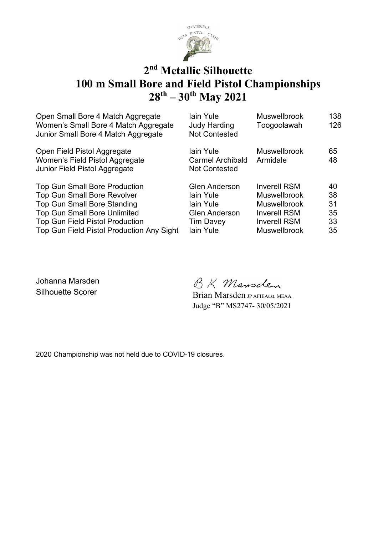

#### **2 nd Metallic Silhouette 100 m Small Bore and Field Pistol Championships 28th – 30th May 2021**

| Open Small Bore 4 Match Aggregate<br>Women's Small Bore 4 Match Aggregate<br>Junior Small Bore 4 Match Aggregate                                                                                                                               | lain Yule<br><b>Judy Harding</b><br><b>Not Contested</b>                                                | <b>Muswellbrook</b><br>Toogoolawah                                                                                                     | 138<br>126                       |
|------------------------------------------------------------------------------------------------------------------------------------------------------------------------------------------------------------------------------------------------|---------------------------------------------------------------------------------------------------------|----------------------------------------------------------------------------------------------------------------------------------------|----------------------------------|
| Open Field Pistol Aggregate<br>Women's Field Pistol Aggregate<br>Junior Field Pistol Aggregate                                                                                                                                                 | lain Yule<br><b>Carmel Archibald</b><br><b>Not Contested</b>                                            | <b>Muswellbrook</b><br>Armidale                                                                                                        | 65<br>48                         |
| <b>Top Gun Small Bore Production</b><br><b>Top Gun Small Bore Revolver</b><br><b>Top Gun Small Bore Standing</b><br><b>Top Gun Small Bore Unlimited</b><br><b>Top Gun Field Pistol Production</b><br>Top Gun Field Pistol Production Any Sight | <b>Glen Anderson</b><br>lain Yule<br>lain Yule<br><b>Glen Anderson</b><br><b>Tim Davey</b><br>lain Yule | <b>Inverell RSM</b><br><b>Muswellbrook</b><br><b>Muswellbrook</b><br><b>Inverell RSM</b><br><b>Inverell RSM</b><br><b>Muswellbrook</b> | 40<br>38<br>31<br>35<br>33<br>35 |

Johanna Marsden

BK Mansclen

Silhouette Scorer Brian Marsden JP AFIEAust. MEAA Judge "B" MS2747- 30/05/2021

2020 Championship was not held due to COVID-19 closures.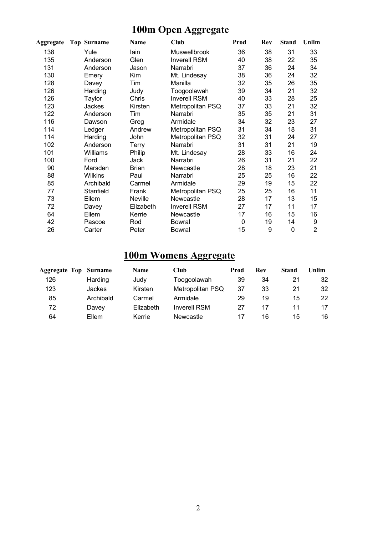### **100m Open Aggregate**

| Aggregate | <b>Top Surname</b> | <b>Name</b>  | <b>Club</b>         | Prod        | Rev | <b>Stand</b> | Unlim          |
|-----------|--------------------|--------------|---------------------|-------------|-----|--------------|----------------|
| 138       | Yule               | lain         | Muswellbrook        | 36          | 38  | 31           | 33             |
| 135       | Anderson           | Glen         | <b>Inverell RSM</b> | 40          | 38  | 22           | 35             |
| 131       | Anderson           | Jason        | Narrabri            | 37          | 36  | 24           | 34             |
| 130       | Emery              | Kim          | Mt. Lindesay        | 38          | 36  | 24           | 32             |
| 128       | Davey              | Tim          | Manilla             | 32          | 35  | 26           | 35             |
| 126       | Harding            | Judy         | Toogoolawah         | 39          | 34  | 21           | 32             |
| 126       | Taylor             | Chris        | <b>Inverell RSM</b> | 40          | 33  | 28           | 25             |
| 123       | Jackes             | Kirsten      | Metropolitan PSQ    | 37          | 33  | 21           | 32             |
| 122       | Anderson           | Tim          | Narrabri            | 35          | 35  | 21           | 31             |
| 116       | Dawson             | Greg         | Armidale            | 34          | 32  | 23           | 27             |
| 114       | Ledger             | Andrew       | Metropolitan PSQ    | 31          | 34  | 18           | 31             |
| 114       | Harding            | John         | Metropolitan PSQ    | 32          | 31  | 24           | 27             |
| 102       | Anderson           | Terry        | Narrabri            | 31          | 31  | 21           | 19             |
| 101       | Williams           | Philip       | Mt. Lindesay        | 28          | 33  | 16           | 24             |
| 100       | Ford               | Jack         | Narrabri            | 26          | 31  | 21           | 22             |
| 90        | Marsden            | <b>Brian</b> | Newcastle           | 28          | 18  | 23           | 21             |
| 88        | <b>Wilkins</b>     | Paul         | Narrabri            | 25          | 25  | 16           | 22             |
| 85        | Archibald          | Carmel       | Armidale            | 29          | 19  | 15           | 22             |
| 77        | Stanfield          | Frank        | Metropolitan PSQ    | 25          | 25  | 16           | 11             |
| 73        | Ellem              | Neville      | Newcastle           | 28          | 17  | 13           | 15             |
| 72        | Davey              | Elizabeth    | <b>Inverell RSM</b> | 27          | 17  | 11           | 17             |
| 64        | Ellem              | Kerrie       | Newcastle           | 17          | 16  | 15           | 16             |
| 42        | Pascoe             | Rod          | Bowral              | $\mathbf 0$ | 19  | 14           | 9              |
| 26        | Carter             | Peter        | <b>Bowral</b>       | 15          | 9   | 0            | $\overline{2}$ |

### **100m Womens Aggregate**

| <b>Aggregate Top</b> | Surname   | <b>Name</b> | Club                | Prod | Rev | <b>Stand</b> | Unlim |
|----------------------|-----------|-------------|---------------------|------|-----|--------------|-------|
| 126                  | Harding   | Judy        | Toogoolawah         | 39   | 34  | 21           | 32    |
| 123                  | Jackes    | Kirsten     | Metropolitan PSQ    | 37   | 33  | 21           | 32    |
| 85                   | Archibald | Carmel      | Armidale            | 29   | 19  | 15           | 22    |
| 72                   | Davey     | Elizabeth   | <b>Inverell RSM</b> | 27   | 17  |              | 17    |
| 64                   | Ellem     | Kerrie      | Newcastle           | 17   | 16  | 15           | 16    |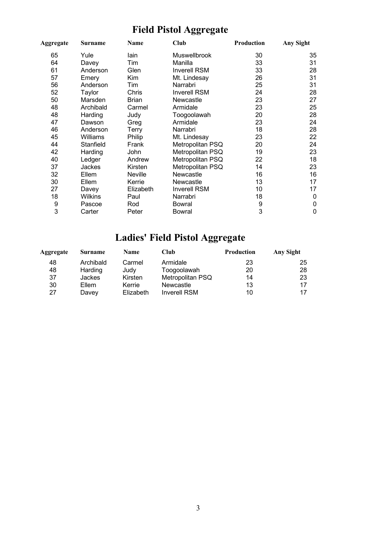### **Field Pistol Aggregate**

| Aggregate | Surname        | Name         | Club                | Production | Any Sight   |
|-----------|----------------|--------------|---------------------|------------|-------------|
| 65        | Yule           | lain         | Muswellbrook        | 30         | 35          |
| 64        | Davey          | Tim          | Manilla             | 33         | 31          |
| 61        | Anderson       | Glen         | <b>Inverell RSM</b> | 33         | 28          |
| 57        | Emery          | Kim          | Mt. Lindesay        | 26         | 31          |
| 56        | Anderson       | Tim          | Narrabri            | 25         | 31          |
| 52        | Taylor         | Chris        | <b>Inverell RSM</b> | 24         | 28          |
| 50        | Marsden        | <b>Brian</b> | Newcastle           | 23         | 27          |
| 48        | Archibald      | Carmel       | Armidale            | 23         | 25          |
| 48        | Harding        | Judy         | Toogoolawah         | 20         | 28          |
| 47        | Dawson         | Greg         | Armidale            | 23         | 24          |
| 46        | Anderson       | Terry        | Narrabri            | 18         | 28          |
| 45        | Williams       | Philip       | Mt. Lindesay        | 23         | 22          |
| 44        | Stanfield      | Frank        | Metropolitan PSQ    | 20         | 24          |
| 42        | Harding        | John         | Metropolitan PSQ    | 19         | 23          |
| 40        | Ledger         | Andrew       | Metropolitan PSQ    | 22         | 18          |
| 37        | Jackes         | Kirsten      | Metropolitan PSQ    | 14         | 23          |
| 32        | Ellem          | Neville      | Newcastle           | 16         | 16          |
| 30        | Ellem          | Kerrie       | Newcastle           | 13         | 17          |
| 27        | Davey          | Elizabeth    | <b>Inverell RSM</b> | 10         | 17          |
| 18        | <b>Wilkins</b> | Paul         | Narrabri            | 18         | 0           |
| 9         | Pascoe         | Rod          | <b>Bowral</b>       | 9          | $\mathbf 0$ |
| 3         | Carter         | Peter        | <b>Bowral</b>       | 3          | $\mathbf 0$ |

# **Ladies' Field Pistol Aggregate**

| Aggregate | <b>Surname</b> | <b>Name</b> | Club                | <b>Production</b> | Any Sight |
|-----------|----------------|-------------|---------------------|-------------------|-----------|
| 48        | Archibald      | Carmel      | Armidale            | 23                | 25        |
| 48        | Harding        | Judy        | Toogoolawah         | 20                | 28        |
| 37        | <b>Jackes</b>  | Kirsten     | Metropolitan PSQ    | 14                | 23        |
| 30        | Ellem          | Kerrie      | Newcastle           | 13                | 17        |
| 27        | Davey          | Elizabeth   | <b>Inverell RSM</b> | 10                |           |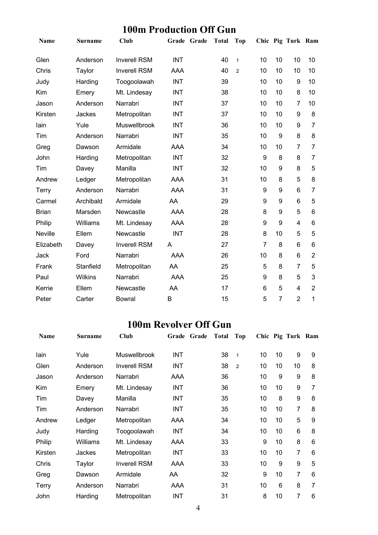#### **100m Production Off Gun**

| Name           | Surname   | <b>Club</b>         |            | Grade Grade | <b>Total</b> | Top            |                |                | Chic Pig Turk Ram |                |
|----------------|-----------|---------------------|------------|-------------|--------------|----------------|----------------|----------------|-------------------|----------------|
| Glen           | Anderson  | <b>Inverell RSM</b> | <b>INT</b> |             | 40           | $\mathbf{1}$   | 10             | 10             | 10                | 10             |
| Chris          | Taylor    | <b>Inverell RSM</b> | AAA        |             | 40           | $\overline{2}$ | 10             | 10             | 10                | 10             |
| Judy           | Harding   | Toogoolawah         | <b>INT</b> |             | 39           |                | 10             | 10             | 9                 | 10             |
| Kim            | Emery     | Mt. Lindesay        | <b>INT</b> |             | 38           |                | 10             | 10             | 8                 | 10             |
| Jason          | Anderson  | Narrabri            | <b>INT</b> |             | 37           |                | 10             | 10             | $\overline{7}$    | 10             |
| Kirsten        | Jackes    | Metropolitan        | <b>INT</b> |             | 37           |                | 10             | 10             | 9                 | 8              |
| lain           | Yule      | <b>Muswellbrook</b> | <b>INT</b> |             | 36           |                | 10             | 10             | 9                 | $\overline{7}$ |
| Tim            | Anderson  | Narrabri            | <b>INT</b> |             | 35           |                | 10             | 9              | 8                 | 8              |
| Greg           | Dawson    | Armidale            | <b>AAA</b> |             | 34           |                | 10             | 10             | $\overline{7}$    | $\overline{7}$ |
| John           | Harding   | Metropolitan        | <b>INT</b> |             | 32           |                | 9              | 8              | 8                 | $\overline{7}$ |
| Tim            | Davey     | Manilla             | <b>INT</b> |             | 32           |                | 10             | 9              | 8                 | 5              |
| Andrew         | Ledger    | Metropolitan        | AAA        |             | 31           |                | 10             | 8              | 5                 | 8              |
| <b>Terry</b>   | Anderson  | Narrabri            | <b>AAA</b> |             | 31           |                | 9              | 9              | 6                 | $\overline{7}$ |
| Carmel         | Archibald | Armidale            | AA         |             | 29           |                | 9              | 9              | 6                 | 5              |
| <b>Brian</b>   | Marsden   | Newcastle           | AAA        |             | 28           |                | 8              | 9              | 5                 | $6\phantom{1}$ |
| Philip         | Williams  | Mt. Lindesay        | AAA        |             | 28           |                | 9              | 9              | $\overline{4}$    | 6              |
| <b>Neville</b> | Ellem     | Newcastle           | <b>INT</b> |             | 28           |                | 8              | 10             | 5                 | 5              |
| Elizabeth      | Davey     | <b>Inverell RSM</b> | A          |             | 27           |                | $\overline{7}$ | 8              | 6                 | 6              |
| Jack           | Ford      | Narrabri            | AAA        |             | 26           |                | 10             | 8              | 6                 | $\overline{2}$ |
| Frank          | Stanfield | Metropolitan        | AA         |             | 25           |                | 5              | 8              | $\overline{7}$    | 5              |
| Paul           | Wilkins   | Narrabri            | <b>AAA</b> |             | 25           |                | 9              | 8              | 5                 | 3              |
| Kerrie         | Ellem     | Newcastle           | AA         |             | 17           |                | 6              | 5              | 4                 | $\overline{2}$ |
| Peter          | Carter    | <b>Bowral</b>       | B          |             | 15           |                | 5              | $\overline{7}$ | $\overline{2}$    | 1              |

#### **100m Revolver Off Gun**

| <b>Name</b>  | <b>Surname</b> | Club                | Grade Grade | <b>Total</b> | Top            |    |    | Chic Pig Turk Ram |   |
|--------------|----------------|---------------------|-------------|--------------|----------------|----|----|-------------------|---|
| lain         | Yule           | <b>Muswellbrook</b> | INT         | 38           | $\mathbf{1}$   | 10 | 10 | 9                 | 9 |
| Glen         | Anderson       | <b>Inverell RSM</b> | <b>INT</b>  | 38           | $\overline{2}$ | 10 | 10 | 10                | 8 |
| Jason        | Anderson       | Narrabri            | AAA         | 36           |                | 10 | 9  | 9                 | 8 |
| Kim          | Emery          | Mt. Lindesay        | <b>INT</b>  | 36           |                | 10 | 10 | 9                 | 7 |
| Tim          | Davey          | Manilla             | INT         | 35           |                | 10 | 8  | 9                 | 8 |
| Tim          | Anderson       | Narrabri            | INT         | 35           |                | 10 | 10 | 7                 | 8 |
| Andrew       | Ledger         | Metropolitan        | AAA         | 34           |                | 10 | 10 | 5                 | 9 |
| Judy         | Harding        | Toogoolawah         | INT         | 34           |                | 10 | 10 | 6                 | 8 |
| Philip       | Williams       | Mt. Lindesay        | AAA         | 33           |                | 9  | 10 | 8                 | 6 |
| Kirsten      | Jackes         | Metropolitan        | <b>INT</b>  | 33           |                | 10 | 10 | $\overline{7}$    | 6 |
| Chris        | Taylor         | <b>Inverell RSM</b> | AAA         | 33           |                | 10 | 9  | 9                 | 5 |
| Greg         | Dawson         | Armidale            | AA          | 32           |                | 9  | 10 | $\overline{7}$    | 6 |
| <b>Terry</b> | Anderson       | Narrabri            | AAA         | 31           |                | 10 | 6  | 8                 | 7 |
| John         | Harding        | Metropolitan        | INT         | 31           |                | 8  | 10 | $\overline{7}$    | 6 |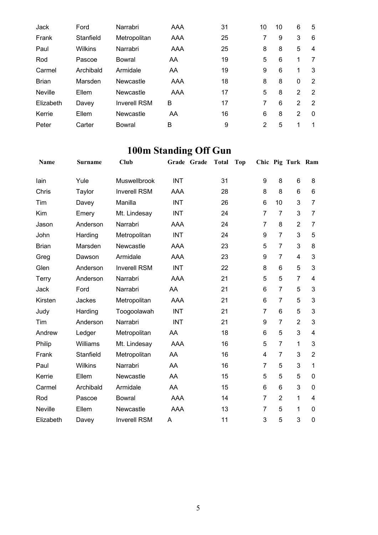| Jack           | Ford      | Narrabri            | AAA | 31 | 10 | 10 | 6        | 5            |
|----------------|-----------|---------------------|-----|----|----|----|----------|--------------|
| Frank          | Stanfield | Metropolitan        | AAA | 25 | 7  | 9  | 3        | 6            |
| Paul           | Wilkins   | Narrabri            | AAA | 25 | 8  | 8  | 5        | 4            |
| Rod            | Pascoe    | Bowral              | AA  | 19 | 5  | 6  | 1        | 7            |
| Carmel         | Archibald | Armidale            | AA  | 19 | 9  | 6  | 1        | 3            |
| <b>Brian</b>   | Marsden   | Newcastle           | AAA | 18 | 8  | 8  | $\Omega$ | 2            |
| <b>Neville</b> | Ellem     | Newcastle           | AAA | 17 | 5  | 8  | 2        | 2            |
| Elizabeth      | Davey     | <b>Inverell RSM</b> | B   | 17 | 7  | 6  | 2        | 2            |
| Kerrie         | Ellem     | Newcastle           | AA  | 16 | 6  | 8  | 2        | $\mathbf{0}$ |
| Peter          | Carter    | <b>Bowral</b>       | B   | 9  | 2  | 5  | 1        | 1            |

### **100m Standing Off Gun**

| Name           | <b>Surname</b> | Club                |            | Grade Grade | <b>Total</b> | <b>Top</b> |                |                | Chic Pig Turk Ram |                |
|----------------|----------------|---------------------|------------|-------------|--------------|------------|----------------|----------------|-------------------|----------------|
| lain           | Yule           | <b>Muswellbrook</b> | <b>INT</b> |             | 31           |            | 9              | 8              | 6                 | 8              |
| Chris          | Taylor         | <b>Inverell RSM</b> | AAA        |             | 28           |            | 8              | 8              | 6                 | 6              |
| Tim            | Davey          | Manilla             | <b>INT</b> |             | 26           |            | 6              | 10             | 3                 | 7              |
| Kim            | Emery          | Mt. Lindesay        | <b>INT</b> |             | 24           |            | $\overline{7}$ | $\overline{7}$ | 3                 | 7              |
| Jason          | Anderson       | Narrabri            | <b>AAA</b> |             | 24           |            | $\overline{7}$ | 8              | $\overline{2}$    | $\overline{7}$ |
| John           | Harding        | Metropolitan        | <b>INT</b> |             | 24           |            | 9              | $\overline{7}$ | 3                 | 5              |
| <b>Brian</b>   | Marsden        | Newcastle           | <b>AAA</b> |             | 23           |            | 5              | $\overline{7}$ | 3                 | 8              |
| Greg           | Dawson         | Armidale            | <b>AAA</b> |             | 23           |            | 9              | $\overline{7}$ | 4                 | 3              |
| Glen           | Anderson       | <b>Inverell RSM</b> | <b>INT</b> |             | 22           |            | 8              | 6              | 5                 | 3              |
| Terry          | Anderson       | Narrabri            | <b>AAA</b> |             | 21           |            | 5              | 5              | $\overline{7}$    | 4              |
| Jack           | Ford           | Narrabri            | AA         |             | 21           |            | 6              | $\overline{7}$ | 5                 | 3              |
| Kirsten        | Jackes         | Metropolitan        | <b>AAA</b> |             | 21           |            | 6              | $\overline{7}$ | 5                 | 3              |
| Judy           | Harding        | Toogoolawah         | <b>INT</b> |             | 21           |            | 7              | 6              | 5                 | 3              |
| Tim            | Anderson       | Narrabri            | <b>INT</b> |             | 21           |            | 9              | $\overline{7}$ | $\overline{2}$    | 3              |
| Andrew         | Ledger         | Metropolitan        | AA         |             | 18           |            | 6              | 5              | 3                 | 4              |
| Philip         | Williams       | Mt. Lindesay        | AAA        |             | 16           |            | 5              | $\overline{7}$ | 1                 | 3              |
| Frank          | Stanfield      | Metropolitan        | AA         |             | 16           |            | 4              | $\overline{7}$ | 3                 | $\overline{2}$ |
| Paul           | Wilkins        | Narrabri            | AA         |             | 16           |            | 7              | 5              | 3                 | 1              |
| Kerrie         | Ellem          | Newcastle           | AA         |             | 15           |            | 5              | 5              | 5                 | 0              |
| Carmel         | Archibald      | Armidale            | AA         |             | 15           |            | 6              | 6              | 3                 | 0              |
| Rod            | Pascoe         | <b>Bowral</b>       | <b>AAA</b> |             | 14           |            | $\overline{7}$ | $\overline{2}$ | 1                 | 4              |
| <b>Neville</b> | Ellem          | Newcastle           | <b>AAA</b> |             | 13           |            | 7              | 5              | 1                 | $\Omega$       |
| Elizabeth      | Davey          | <b>Inverell RSM</b> | Α          |             | 11           |            | 3              | 5              | 3                 | 0              |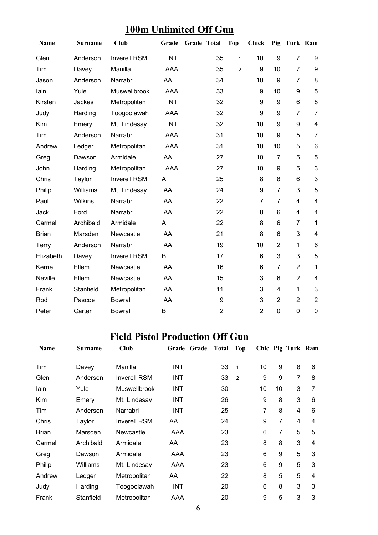| Name           | <b>Surname</b> | <b>Club</b>         | Grade      | Grade Total |                | <b>Top</b>     | <b>Chick</b>   |                | Pig Turk Ram   |                         |
|----------------|----------------|---------------------|------------|-------------|----------------|----------------|----------------|----------------|----------------|-------------------------|
| Glen           | Anderson       | <b>Inverell RSM</b> | <b>INT</b> |             | 35             | $\mathbf{1}$   | 10             | 9              | $\overline{7}$ | 9                       |
| Tim            | Davey          | Manilla             | <b>AAA</b> |             | 35             | $\overline{2}$ | 9              | 10             | $\overline{7}$ | 9                       |
| Jason          | Anderson       | Narrabri            | AA         |             | 34             |                | 10             | 9              | $\overline{7}$ | 8                       |
| lain           | Yule           | Muswellbrook        | <b>AAA</b> |             | 33             |                | 9              | 10             | 9              | 5                       |
| Kirsten        | Jackes         | Metropolitan        | <b>INT</b> |             | 32             |                | 9              | 9              | 6              | 8                       |
| Judy           | Harding        | Toogoolawah         | <b>AAA</b> |             | 32             |                | 9              | 9              | 7              | $\overline{7}$          |
| Kim            | Emery          | Mt. Lindesay        | <b>INT</b> |             | 32             |                | 10             | 9              | 9              | 4                       |
| Tim            | Anderson       | Narrabri            | <b>AAA</b> |             | 31             |                | 10             | 9              | 5              | 7                       |
| Andrew         | Ledger         | Metropolitan        | <b>AAA</b> |             | 31             |                | 10             | 10             | 5              | $\,6\,$                 |
| Greg           | Dawson         | Armidale            | AA         |             | 27             |                | 10             | $\overline{7}$ | 5              | 5                       |
| John           | Harding        | Metropolitan        | <b>AAA</b> |             | 27             |                | 10             | 9              | 5              | 3                       |
| Chris          | Taylor         | <b>Inverell RSM</b> | A          |             | 25             |                | 8              | 8              | 6              | 3                       |
| Philip         | Williams       | Mt. Lindesay        | AA         |             | 24             |                | 9              | $\overline{7}$ | 3              | 5                       |
| Paul           | Wilkins        | Narrabri            | AA         |             | 22             |                | $\overline{7}$ | $\overline{7}$ | $\overline{4}$ | $\overline{\mathbf{4}}$ |
| Jack           | Ford           | Narrabri            | AA         |             | 22             |                | 8              | 6              | 4              | $\overline{\mathbf{4}}$ |
| Carmel         | Archibald      | Armidale            | A          |             | 22             |                | 8              | 6              | $\overline{7}$ | $\mathbf{1}$            |
| <b>Brian</b>   | Marsden        | Newcastle           | AA         |             | 21             |                | 8              | 6              | 3              | $\overline{\mathbf{4}}$ |
| Terry          | Anderson       | Narrabri            | AA         |             | 19             |                | 10             | $\overline{2}$ | $\mathbf{1}$   | 6                       |
| Elizabeth      | Davey          | <b>Inverell RSM</b> | B          |             | 17             |                | 6              | 3              | 3              | 5                       |
| Kerrie         | Ellem          | Newcastle           | AA         |             | 16             |                | 6              | $\overline{7}$ | $\overline{2}$ | $\mathbf{1}$            |
| <b>Neville</b> | Ellem          | Newcastle           | AA         |             | 15             |                | 3              | 6              | $\overline{2}$ | $\overline{\mathbf{4}}$ |
| Frank          | Stanfield      | Metropolitan        | AA         |             | 11             |                | 3              | 4              | $\mathbf{1}$   | 3                       |
| Rod            | Pascoe         | <b>Bowral</b>       | AA         |             | 9              |                | 3              | $\overline{2}$ | $\overline{2}$ | $\overline{2}$          |
| Peter          | Carter         | <b>Bowral</b>       | B          |             | $\overline{2}$ |                | $\overline{2}$ | 0              | 0              | 0                       |

### **100m Unlimited Off Gun**

#### **Field Pistol Production Off Gun**

| <b>Name</b>  | <b>Surname</b> | Club                | Grade Grade | <b>Total</b> | Top            |    |    | Chic Pig Turk Ram |   |
|--------------|----------------|---------------------|-------------|--------------|----------------|----|----|-------------------|---|
| Tim          | Davey          | Manilla             | <b>INT</b>  | 33           | $\mathbf{1}$   | 10 | 9  | 8                 | 6 |
| Glen         | Anderson       | <b>Inverell RSM</b> | INT         | 33           | $\overline{2}$ | 9  | 9  | 7                 | 8 |
| lain         | Yule           | <b>Muswellbrook</b> | <b>INT</b>  | 30           |                | 10 | 10 | 3                 | 7 |
| Kim          | Emery          | Mt. Lindesay        | <b>INT</b>  | 26           |                | 9  | 8  | 3                 | 6 |
| Tim          | Anderson       | Narrabri            | INT         | 25           |                | 7  | 8  | 4                 | 6 |
| Chris        | Taylor         | <b>Inverell RSM</b> | AA          | 24           |                | 9  | 7  | 4                 | 4 |
| <b>Brian</b> | Marsden        | Newcastle           | AAA         | 23           |                | 6  | 7  | 5                 | 5 |
| Carmel       | Archibald      | Armidale            | AA          | 23           |                | 8  | 8  | 3                 | 4 |
| Greg         | Dawson         | Armidale            | AAA         | 23           |                | 6  | 9  | 5                 | 3 |
| Philip       | Williams       | Mt. Lindesay        | AAA         | 23           |                | 6  | 9  | 5                 | 3 |
| Andrew       | Ledger         | Metropolitan        | AA          | 22           |                | 8  | 5  | 5                 | 4 |
| Judy         | Harding        | Toogoolawah         | <b>INT</b>  | 20           |                | 6  | 8  | 3                 | 3 |
| Frank        | Stanfield      | Metropolitan        | AAA         | 20           |                | 9  | 5  | 3                 | 3 |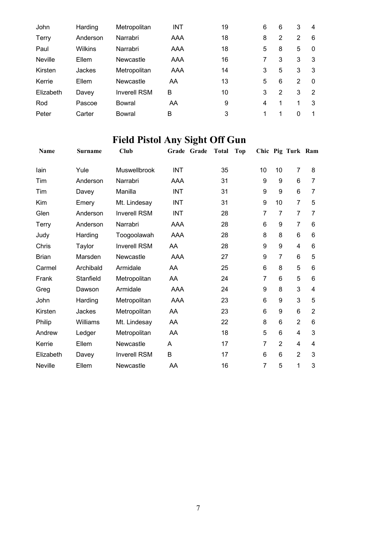| John      | Harding  | Metropolitan        | <b>INT</b> | 19 | 6 | 6 | 3        | 4        |
|-----------|----------|---------------------|------------|----|---|---|----------|----------|
| Terry     | Anderson | Narrabri            | AAA        | 18 | 8 | 2 | 2        | 6        |
| Paul      | Wilkins  | Narrabri            | AAA        | 18 | 5 | 8 | 5        | $\Omega$ |
| Neville   | Ellem    | Newcastle           | AAA        | 16 |   | 3 | 3        | 3        |
| Kirsten   | Jackes   | Metropolitan        | AAA        | 14 | 3 | 5 | 3        | 3        |
| Kerrie    | Ellem    | Newcastle           | AA         | 13 | 5 | 6 | 2        | $\Omega$ |
| Elizabeth | Davey    | <b>Inverell RSM</b> | в          | 10 | 3 | 2 | 3        | 2        |
| Rod       | Pascoe   | Bowral              | AA         | 9  | 4 | 1 | 1        | 3        |
| Peter     | Carter   | Bowral              | в          | 3  | 1 | 1 | $\Omega$ | 1        |

## **Field Pistol Any Sight Off Gun**

| Name         | <b>Surname</b> | <b>Club</b>         | Grade Grade | <b>Total</b> | <b>Top</b> |                | Chic Pig Turk Ram |                |
|--------------|----------------|---------------------|-------------|--------------|------------|----------------|-------------------|----------------|
| lain         | Yule           | Muswellbrook        | <b>INT</b>  | 35           | 10         | 10             | 7                 | 8              |
| Tim          | Anderson       | Narrabri            | AAA         | 31           | 9          | 9              | 6                 | 7              |
| Tim          | Davey          | Manilla             | <b>INT</b>  | 31           | 9          | 9              | 6                 | 7              |
| Kim          | Emery          | Mt. Lindesay        | <b>INT</b>  | 31           | 9          | 10             | 7                 | 5              |
| Glen         | Anderson       | <b>Inverell RSM</b> | <b>INT</b>  | 28           | 7          | 7              | 7                 | 7              |
| <b>Terry</b> | Anderson       | Narrabri            | AAA         | 28           | 6          | 9              | $\overline{7}$    | 6              |
| Judy         | Harding        | Toogoolawah         | AAA         | 28           | 8          | 8              | 6                 | 6              |
| Chris        | Taylor         | <b>Inverell RSM</b> | AA          | 28           | 9          | 9              | 4                 | 6              |
| <b>Brian</b> | Marsden        | Newcastle           | <b>AAA</b>  | 27           | 9          | $\overline{7}$ | 6                 | 5              |
| Carmel       | Archibald      | Armidale            | AA          | 25           | 6          | 8              | 5                 | 6              |
| Frank        | Stanfield      | Metropolitan        | AA          | 24           | 7          | 6              | 5                 | 6              |
| Greg         | Dawson         | Armidale            | <b>AAA</b>  | 24           | 9          | 8              | 3                 | 4              |
| John         | Harding        | Metropolitan        | <b>AAA</b>  | 23           | 6          | 9              | 3                 | 5              |
| Kirsten      | Jackes         | Metropolitan        | AA          | 23           | 6          | 9              | 6                 | $\overline{2}$ |
| Philip       | Williams       | Mt. Lindesay        | AA          | 22           | 8          | 6              | $\overline{2}$    | 6              |
| Andrew       | Ledger         | Metropolitan        | AA          | 18           | 5          | 6              | 4                 | 3              |
| Kerrie       | Ellem          | Newcastle           | A           | 17           | 7          | $\overline{2}$ | 4                 | 4              |
| Elizabeth    | Davey          | <b>Inverell RSM</b> | B           | 17           | 6          | 6              | $\overline{2}$    | 3              |
| Neville      | Ellem          | Newcastle           | AA          | 16           | 7          | 5              | 1                 | 3              |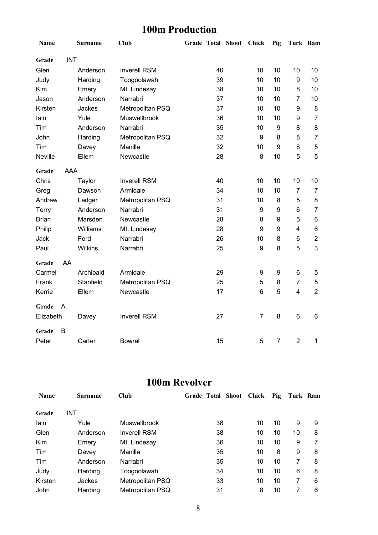#### **100m Production**

| Name         |            | Surname   | <b>Club</b>         | <b>Grade Total Shoot</b> | Chick            | Pig            | Turk Ram       |                |
|--------------|------------|-----------|---------------------|--------------------------|------------------|----------------|----------------|----------------|
| Grade        | <b>INT</b> |           |                     |                          |                  |                |                |                |
| Glen         |            | Anderson  | <b>Inverell RSM</b> | 40                       | 10               | 10             | 10             | 10             |
| Judy         |            | Harding   | Toogoolawah         | 39                       | 10               | 10             | 9              | 10             |
| Kim          |            | Emery     | Mt. Lindesay        | 38                       | 10               | 10             | 8              | 10             |
| Jason        |            | Anderson  | Narrabri            | 37                       | 10               | 10             | $\overline{7}$ | 10             |
| Kirsten      |            | Jackes    | Metropolitan PSQ    | 37                       | 10               | 10             | 9              | 8              |
| lain         |            | Yule      | Muswellbrook        | 36                       | 10               | 10             | 9              | 7              |
| Tim          |            | Anderson  | Narrabri            | 35                       | 10               | 9              | 8              | 8              |
| John         |            | Harding   | Metropolitan PSQ    | 32                       | 9                | 8              | 8              | $\overline{7}$ |
| Tim          |            | Davey     | Manilla             | 32                       | 10               | 9              | 8              | 5              |
| Neville      |            | Ellem     | Newcastle           | 28                       | 8                | 10             | 5              | 5              |
| Grade        | AAA        |           |                     |                          |                  |                |                |                |
| Chris        |            | Taylor    | <b>Inverell RSM</b> | 40                       | 10               | 10             | 10             | 10             |
| Greg         |            | Dawson    | Armidale            | 34                       | 10               | 10             | $\overline{7}$ | 7              |
| Andrew       |            | Ledger    | Metropolitan PSQ    | 31                       | 10               | 8              | 5              | 8              |
| Terry        |            | Anderson  | Narrabri            | 31                       | 9                | 9              | 6              | $\overline{7}$ |
| <b>Brian</b> |            | Marsden   | Newcastle           | 28                       | 8                | 9              | 5              | $\,6$          |
| Philip       |            | Williams  | Mt. Lindesay        | 28                       | 9                | 9              | 4              | $\,6$          |
| Jack         |            | Ford      | Narrabri            | 26                       | 10               | 8              | 6              | $\overline{2}$ |
| Paul         |            | Wilkins   | Narrabri            | 25                       | $\boldsymbol{9}$ | 8              | 5              | 3              |
| Grade        | AA         |           |                     |                          |                  |                |                |                |
| Carmel       |            | Archibald | Armidale            | 29                       | 9                | 9              | 6              | 5              |
| Frank        |            | Stanfield | Metropolitan PSQ    | 25                       | 5                | 8              | $\overline{7}$ | 5              |
| Kerrie       |            | Ellem     | Newcastle           | 17                       | 6                | 5              | 4              | $\overline{2}$ |
| Grade        | A          |           |                     |                          |                  |                |                |                |
| Elizabeth    |            | Davey     | <b>Inverell RSM</b> | 27                       | $\overline{7}$   | 8              | 6              | $\,6$          |
| Grade        | B          |           |                     |                          |                  |                |                |                |
| Peter        |            | Carter    | <b>Bowral</b>       | 15                       | 5                | $\overline{7}$ | $\overline{2}$ | 1              |

#### **100m Revolver**

| <b>Name</b> | <b>Surname</b> | Club                | <b>Grade Total Shoot</b> | Chick | Pig | Turk Ram |   |
|-------------|----------------|---------------------|--------------------------|-------|-----|----------|---|
| Grade       | INT            |                     |                          |       |     |          |   |
| lain        | Yule           | Muswellbrook        | 38                       | 10    | 10  | 9        | 9 |
| Glen        | Anderson       | <b>Inverell RSM</b> | 38                       | 10    | 10  | 10       | 8 |
| Kim         | Emery          | Mt. Lindesay        | 36                       | 10    | 10  | 9        | 7 |
| Tim         | Davey          | Manilla             | 35                       | 10    | 8   | 9        | 8 |
| Tim         | Anderson       | Narrabri            | 35                       | 10    | 10  | 7        | 8 |
| Judy        | Harding        | Toogoolawah         | 34                       | 10    | 10  | 6        | 8 |
| Kirsten     | Jackes         | Metropolitan PSQ    | 33                       | 10    | 10  | 7        | 6 |
| John        | Harding        | Metropolitan PSQ    | 31                       | 8     | 10  | 7        | 6 |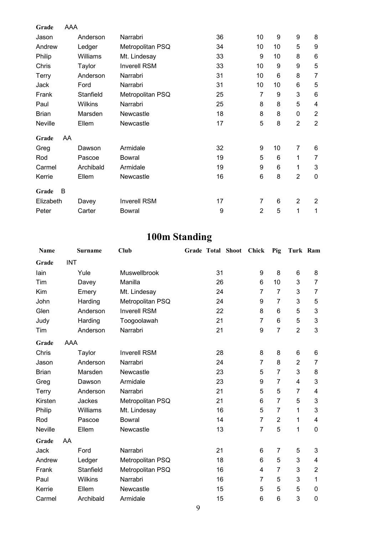| Grade        | AAA |                |                     |    |                |    |                |                |
|--------------|-----|----------------|---------------------|----|----------------|----|----------------|----------------|
| Jason        |     | Anderson       | Narrabri            | 36 | 10             | 9  | 9              | 8              |
| Andrew       |     | Ledger         | Metropolitan PSQ    | 34 | 10             | 10 | 5              | 9              |
| Philip       |     | Williams       | Mt. Lindesay        | 33 | 9              | 10 | 8              | $\,6$          |
| Chris        |     | Taylor         | <b>Inverell RSM</b> | 33 | 10             | 9  | 9              | 5              |
| Terry        |     | Anderson       | Narrabri            | 31 | 10             | 6  | 8              | $\overline{7}$ |
| Jack         |     | Ford           | Narrabri            | 31 | 10             | 10 | 6              | 5              |
| Frank        |     | Stanfield      | Metropolitan PSQ    | 25 | 7              | 9  | 3              | 6              |
| Paul         |     | <b>Wilkins</b> | Narrabri            | 25 | 8              | 8  | 5              | $\overline{4}$ |
| <b>Brian</b> |     | Marsden        | Newcastle           | 18 | 8              | 8  | 0              | $\overline{c}$ |
| Neville      |     | Ellem          | Newcastle           | 17 | 5              | 8  | $\overline{2}$ | $\overline{2}$ |
| Grade        | AA  |                |                     |    |                |    |                |                |
| Greg         |     | Dawson         | Armidale            | 32 | 9              | 10 | $\overline{7}$ | 6              |
| Rod          |     | Pascoe         | <b>Bowral</b>       | 19 | 5              | 6  | 1              | $\overline{7}$ |
| Carmel       |     | Archibald      | Armidale            | 19 | 9              | 6  | 1              | 3              |
| Kerrie       |     | Ellem          | Newcastle           | 16 | 6              | 8  | $\overline{2}$ | $\mathbf 0$    |
| Grade        | B   |                |                     |    |                |    |                |                |
| Elizabeth    |     | Davey          | <b>Inverell RSM</b> | 17 | $\overline{7}$ | 6  | $\overline{2}$ | $\overline{2}$ |
| Peter        |     | Carter         | <b>Bowral</b>       | 9  | $\overline{2}$ | 5  | 1              | 1              |

### **100m Standing**

| Name         |            | <b>Surname</b> | <b>Club</b>         |    | Grade Total Shoot | <b>Chick</b>   | Pig            | Turk Ram       |                           |
|--------------|------------|----------------|---------------------|----|-------------------|----------------|----------------|----------------|---------------------------|
| Grade        | <b>INT</b> |                |                     |    |                   |                |                |                |                           |
| lain         |            | Yule           | Muswellbrook        | 31 |                   | 9              | 8              | 6              | 8                         |
| Tim          |            | Davey          | Manilla             | 26 |                   | 6              | 10             | 3              | $\overline{7}$            |
| Kim          |            | Emery          | Mt. Lindesay        | 24 |                   | 7              | $\overline{7}$ | 3              | $\overline{7}$            |
| John         |            | Harding        | Metropolitan PSQ    | 24 |                   | 9              | $\overline{7}$ | 3              | 5                         |
| Glen         |            | Anderson       | <b>Inverell RSM</b> | 22 |                   | 8              | 6              | 5              | 3                         |
| Judy         |            | Harding        | Toogoolawah         | 21 |                   | $\overline{7}$ | 6              | 5              | $\ensuremath{\mathsf{3}}$ |
| Tim          |            | Anderson       | Narrabri            | 21 |                   | 9              | $\overline{7}$ | $\overline{2}$ | 3                         |
| Grade        | AAA        |                |                     |    |                   |                |                |                |                           |
| Chris        |            | Taylor         | <b>Inverell RSM</b> | 28 |                   | 8              | 8              | 6              | 6                         |
| Jason        |            | Anderson       | Narrabri            | 24 |                   | $\overline{7}$ | 8              | $\overline{2}$ | 7                         |
| <b>Brian</b> |            | Marsden        | Newcastle           | 23 |                   | 5              | 7              | 3              | 8                         |
| Greg         |            | Dawson         | Armidale            | 23 |                   | 9              | $\overline{7}$ | 4              | 3                         |
| Terry        |            | Anderson       | Narrabri            | 21 |                   | 5              | 5              | 7              | $\overline{\mathbf{4}}$   |
| Kirsten      |            | Jackes         | Metropolitan PSQ    | 21 |                   | 6              | $\overline{7}$ | 5              | 3                         |
| Philip       |            | Williams       | Mt. Lindesay        | 16 |                   | 5              | $\overline{7}$ | 1              | $\ensuremath{\mathsf{3}}$ |
| Rod          |            | Pascoe         | <b>Bowral</b>       | 14 |                   | $\overline{7}$ | $\overline{2}$ | 1              | 4                         |
| Neville      |            | Ellem          | Newcastle           | 13 |                   | $\overline{7}$ | 5              | 1              | $\mathbf 0$               |
| Grade        | AA         |                |                     |    |                   |                |                |                |                           |
| Jack         |            | Ford           | Narrabri            | 21 |                   | 6              | 7              | 5              | 3                         |
| Andrew       |            | Ledger         | Metropolitan PSQ    | 18 |                   | 6              | 5              | 3              | 4                         |
| Frank        |            | Stanfield      | Metropolitan PSQ    | 16 |                   | 4              | $\overline{7}$ | 3              | $\overline{2}$            |
| Paul         |            | Wilkins        | Narrabri            | 16 |                   | $\overline{7}$ | 5              | 3              | 1                         |
| Kerrie       |            | Ellem          | Newcastle           | 15 |                   | 5              | 5              | 5              | $\mathbf 0$               |
| Carmel       |            | Archibald      | Armidale            | 15 |                   | 6              | 6              | 3              | $\mathbf 0$               |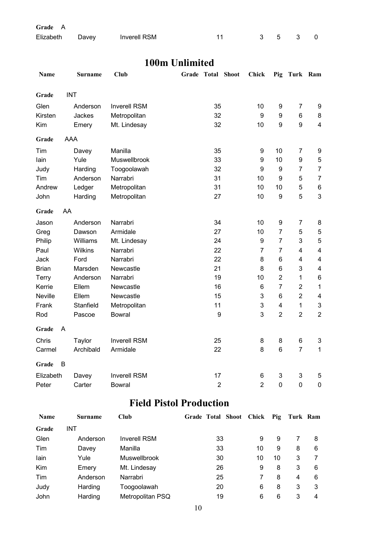| Grade A         |                     |                                                                                                  |       |  |                          |
|-----------------|---------------------|--------------------------------------------------------------------------------------------------|-------|--|--------------------------|
| Elizabeth Davey | <b>Inverell RSM</b> | 11                                                                                               | 3 5 3 |  | $\overline{\phantom{0}}$ |
|                 |                     |                                                                                                  |       |  |                          |
|                 |                     | $\overline{100}$ $\overline{11}$ $\overline{11}$ $\overline{11}$ $\overline{11}$ $\overline{11}$ |       |  |                          |

#### **100m Unlimited**

| Name         | <b>Surname</b> | Club                | Grade | <b>Total Shoot</b> | Chick          | Pig                       | Turk Ram       |                           |
|--------------|----------------|---------------------|-------|--------------------|----------------|---------------------------|----------------|---------------------------|
| Grade        | <b>INT</b>     |                     |       |                    |                |                           |                |                           |
| Glen         | Anderson       | <b>Inverell RSM</b> |       | 35                 | 10             | 9                         | 7              | 9                         |
| Kirsten      | Jackes         | Metropolitan        |       | 32                 | 9              | 9                         | 6              | 8                         |
| Kim          | Emery          | Mt. Lindesay        |       | 32                 | 10             | 9                         | 9              | $\overline{\mathbf{4}}$   |
| Grade        | AAA            |                     |       |                    |                |                           |                |                           |
| Tim          | Davey          | Manilla             |       | 35                 | 9              | 10                        | $\overline{7}$ | 9                         |
| lain         | Yule           | Muswellbrook        |       | 33                 | 9              | 10                        | 9              | 5                         |
| Judy         | Harding        | Toogoolawah         |       | 32                 | 9              | $\boldsymbol{9}$          | $\overline{7}$ | $\overline{7}$            |
| Tim          | Anderson       | Narrabri            |       | 31                 | 10             | 9                         | 5              | $\overline{7}$            |
| Andrew       | Ledger         | Metropolitan        |       | 31                 | 10             | 10                        | 5              | $\,6$                     |
| John         | Harding        | Metropolitan        |       | 27                 | 10             | $\boldsymbol{9}$          | 5              | $\mathfrak{S}$            |
| Grade        | AA             |                     |       |                    |                |                           |                |                           |
| Jason        | Anderson       | Narrabri            |       | 34                 | 10             | 9                         | 7              | 8                         |
| Greg         | Dawson         | Armidale            |       | 27                 | 10             | $\overline{7}$            | 5              | 5                         |
| Philip       | Williams       | Mt. Lindesay        |       | 24                 | 9              | $\overline{7}$            | 3              | $\mathbf 5$               |
| Paul         | Wilkins        | Narrabri            |       | 22                 | $\overline{7}$ | $\overline{7}$            | $\overline{4}$ | $\overline{\mathbf{4}}$   |
| <b>Jack</b>  | Ford           | Narrabri            |       | 22                 | 8              | 6                         | 4              | $\overline{\mathbf{4}}$   |
| <b>Brian</b> | Marsden        | Newcastle           |       | 21                 | 8              | 6                         | 3              | $\overline{\mathbf{4}}$   |
| Terry        | Anderson       | Narrabri            |       | 19                 | 10             | $\overline{2}$            | 1              | $\,6\,$                   |
| Kerrie       | Ellem          | Newcastle           |       | 16                 | 6              | $\overline{7}$            | $\overline{2}$ | $\mathbf 1$               |
| Neville      | Ellem          | Newcastle           |       | 15                 | 3              | 6                         | $\overline{2}$ | 4                         |
| Frank        | Stanfield      | Metropolitan        |       | 11                 | 3              | $\overline{\mathbf{4}}$   | $\mathbf{1}$   | $\ensuremath{\mathsf{3}}$ |
| Rod          | Pascoe         | <b>Bowral</b>       |       | $\boldsymbol{9}$   | 3              | $\overline{2}$            | $\overline{2}$ | $\overline{2}$            |
| Grade        | A              |                     |       |                    |                |                           |                |                           |
| Chris        | Taylor         | <b>Inverell RSM</b> |       | 25                 | 8              | 8                         | 6              | 3                         |
| Carmel       | Archibald      | Armidale            |       | 22                 | 8              | $\,6\,$                   | $\overline{7}$ | $\mathbf 1$               |
| Grade        | B              |                     |       |                    |                |                           |                |                           |
| Elizabeth    | Davey          | <b>Inverell RSM</b> |       | 17                 | 6              | $\ensuremath{\mathsf{3}}$ | 3              | 5                         |
| Peter        | Carter         | <b>Bowral</b>       |       | $\overline{2}$     | $\overline{2}$ | $\overline{0}$            | $\overline{0}$ | $\mathbf 0$               |

#### **Field Pistol Production**

| Name  | Surname  | Club                | <b>Grade Total Shoot</b> | Chick | Pig | Turk Ram |   |
|-------|----------|---------------------|--------------------------|-------|-----|----------|---|
| Grade | INT      |                     |                          |       |     |          |   |
| Glen  | Anderson | <b>Inverell RSM</b> | 33                       | 9     | 9   |          | 8 |
| Tim   | Davey    | Manilla             | 33                       | 10    | 9   | 8        | 6 |
| lain  | Yule     | Muswellbrook        | 30                       | 10    | 10  | 3        |   |
| Kim   | Emery    | Mt. Lindesay        | 26                       | 9     | 8   | 3        | 6 |
| Tim   | Anderson | Narrabri            | 25                       |       | 8   | 4        | 6 |
| Judy  | Harding  | Toogoolawah         | 20                       | 6     | 8   | 3        | 3 |
| John  | Harding  | Metropolitan PSQ    | 19                       | 6     | 6   | 3        | 4 |